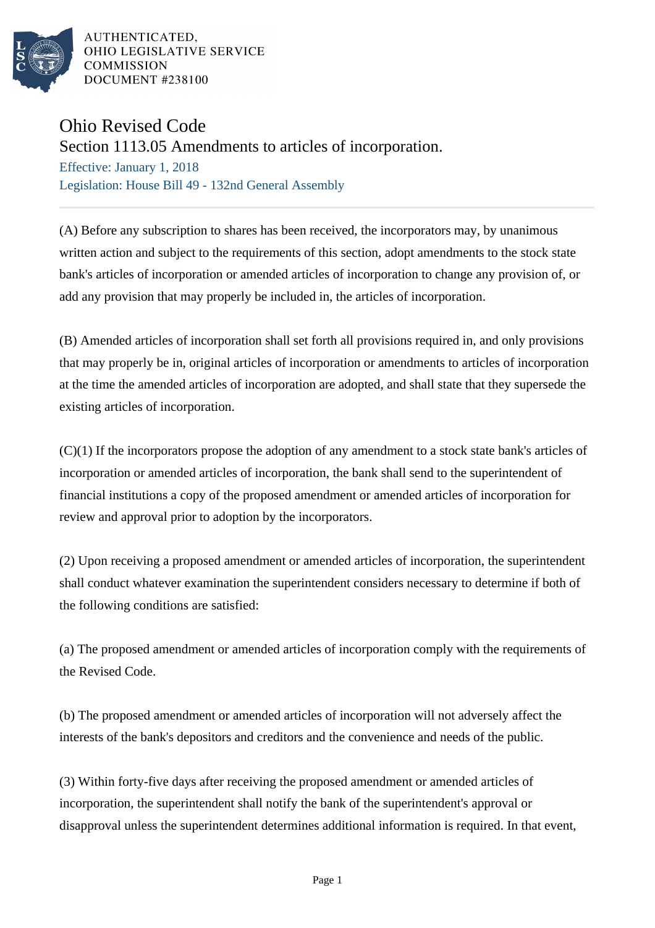

AUTHENTICATED, OHIO LEGISLATIVE SERVICE **COMMISSION** DOCUMENT #238100

## Ohio Revised Code

Section 1113.05 Amendments to articles of incorporation.

Effective: January 1, 2018 Legislation: House Bill 49 - 132nd General Assembly

(A) Before any subscription to shares has been received, the incorporators may, by unanimous written action and subject to the requirements of this section, adopt amendments to the stock state bank's articles of incorporation or amended articles of incorporation to change any provision of, or add any provision that may properly be included in, the articles of incorporation.

(B) Amended articles of incorporation shall set forth all provisions required in, and only provisions that may properly be in, original articles of incorporation or amendments to articles of incorporation at the time the amended articles of incorporation are adopted, and shall state that they supersede the existing articles of incorporation.

(C)(1) If the incorporators propose the adoption of any amendment to a stock state bank's articles of incorporation or amended articles of incorporation, the bank shall send to the superintendent of financial institutions a copy of the proposed amendment or amended articles of incorporation for review and approval prior to adoption by the incorporators.

(2) Upon receiving a proposed amendment or amended articles of incorporation, the superintendent shall conduct whatever examination the superintendent considers necessary to determine if both of the following conditions are satisfied:

(a) The proposed amendment or amended articles of incorporation comply with the requirements of the Revised Code.

(b) The proposed amendment or amended articles of incorporation will not adversely affect the interests of the bank's depositors and creditors and the convenience and needs of the public.

(3) Within forty-five days after receiving the proposed amendment or amended articles of incorporation, the superintendent shall notify the bank of the superintendent's approval or disapproval unless the superintendent determines additional information is required. In that event,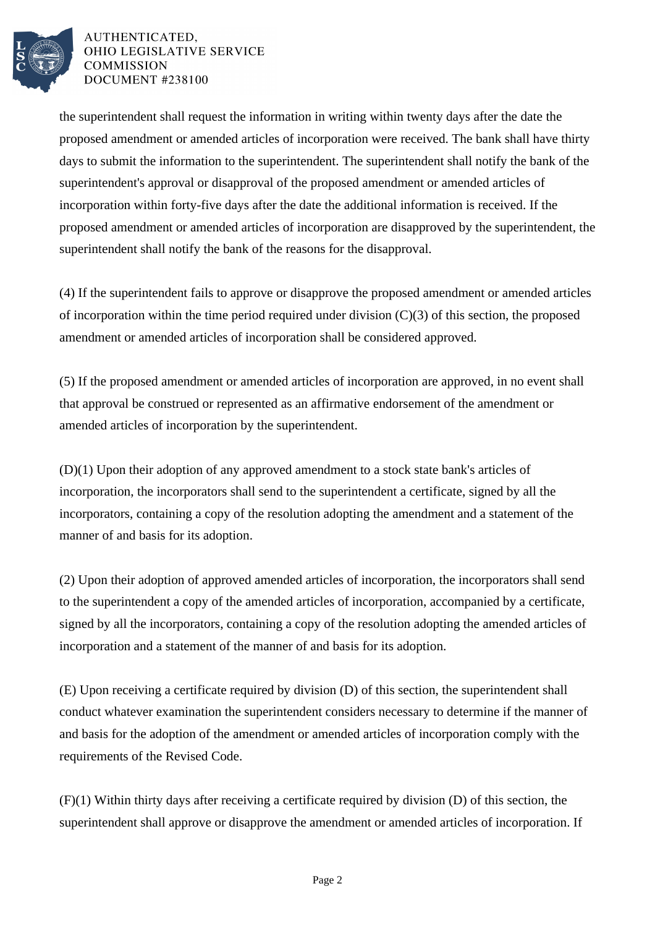

## AUTHENTICATED. OHIO LEGISLATIVE SERVICE **COMMISSION** DOCUMENT #238100

the superintendent shall request the information in writing within twenty days after the date the proposed amendment or amended articles of incorporation were received. The bank shall have thirty days to submit the information to the superintendent. The superintendent shall notify the bank of the superintendent's approval or disapproval of the proposed amendment or amended articles of incorporation within forty-five days after the date the additional information is received. If the proposed amendment or amended articles of incorporation are disapproved by the superintendent, the superintendent shall notify the bank of the reasons for the disapproval.

(4) If the superintendent fails to approve or disapprove the proposed amendment or amended articles of incorporation within the time period required under division  $(C)(3)$  of this section, the proposed amendment or amended articles of incorporation shall be considered approved.

(5) If the proposed amendment or amended articles of incorporation are approved, in no event shall that approval be construed or represented as an affirmative endorsement of the amendment or amended articles of incorporation by the superintendent.

(D)(1) Upon their adoption of any approved amendment to a stock state bank's articles of incorporation, the incorporators shall send to the superintendent a certificate, signed by all the incorporators, containing a copy of the resolution adopting the amendment and a statement of the manner of and basis for its adoption.

(2) Upon their adoption of approved amended articles of incorporation, the incorporators shall send to the superintendent a copy of the amended articles of incorporation, accompanied by a certificate, signed by all the incorporators, containing a copy of the resolution adopting the amended articles of incorporation and a statement of the manner of and basis for its adoption.

(E) Upon receiving a certificate required by division (D) of this section, the superintendent shall conduct whatever examination the superintendent considers necessary to determine if the manner of and basis for the adoption of the amendment or amended articles of incorporation comply with the requirements of the Revised Code.

(F)(1) Within thirty days after receiving a certificate required by division (D) of this section, the superintendent shall approve or disapprove the amendment or amended articles of incorporation. If